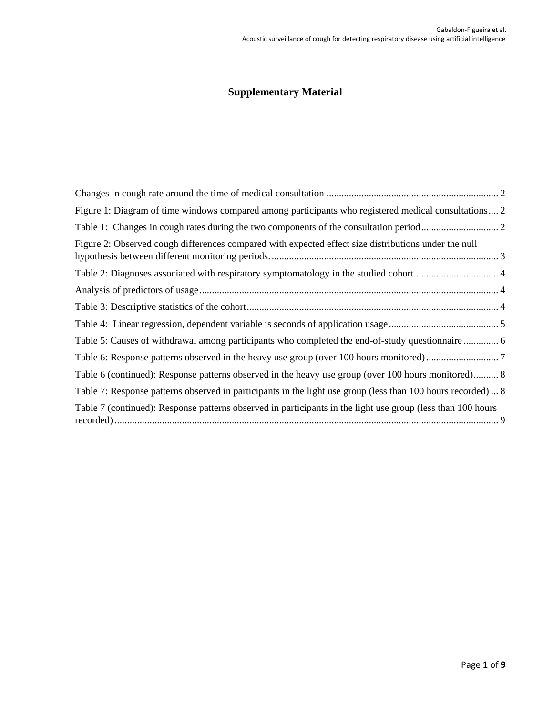# **Supplementary Material**

| Figure 1: Diagram of time windows compared among participants who registered medical consultations 2        |  |
|-------------------------------------------------------------------------------------------------------------|--|
|                                                                                                             |  |
| Figure 2: Observed cough differences compared with expected effect size distributions under the null        |  |
|                                                                                                             |  |
|                                                                                                             |  |
|                                                                                                             |  |
|                                                                                                             |  |
| Table 5: Causes of withdrawal among participants who completed the end-of-study questionnaire  6            |  |
|                                                                                                             |  |
| Table 6 (continued): Response patterns observed in the heavy use group (over 100 hours monitored) 8         |  |
| Table 7: Response patterns observed in participants in the light use group (less than 100 hours recorded) 8 |  |
| Table 7 (continued): Response patterns observed in participants in the light use group (less than 100 hours |  |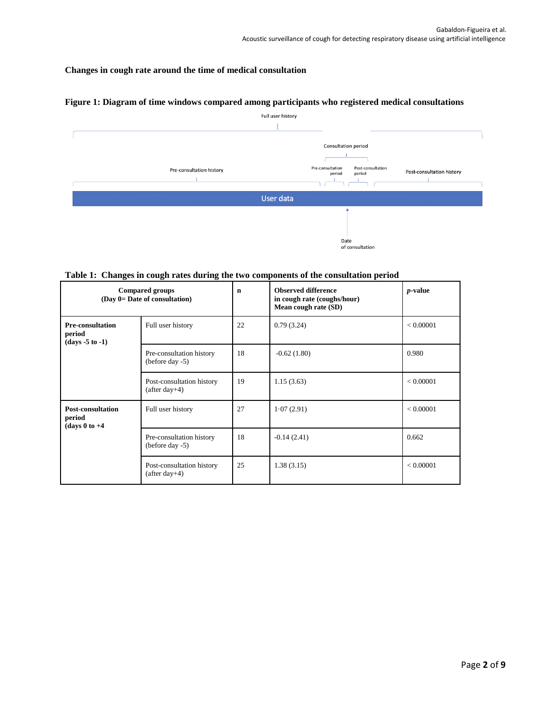## <span id="page-1-0"></span>**Changes in cough rate around the time of medical consultation**

## <span id="page-1-1"></span>**Figure 1: Diagram of time windows compared among participants who registered medical consultations**



#### <span id="page-1-2"></span>**Table 1: Changes in cough rates during the two components of the consultation period**

| <b>Compared groups</b><br>(Day 0= Date of consultation)                      |                                                | $\mathbf n$ | <b>Observed difference</b><br>in cough rate (coughs/hour)<br>Mean cough rate (SD) | $p$ -value |
|------------------------------------------------------------------------------|------------------------------------------------|-------------|-----------------------------------------------------------------------------------|------------|
| <b>Pre-consultation</b><br>Full user history<br>period<br>$(days - 5 to -1)$ |                                                | 22          | 0.79(3.24)                                                                        | < 0.00001  |
|                                                                              | Pre-consultation history<br>(before day -5)    | 18          | $-0.62(1.80)$                                                                     | 0.980      |
|                                                                              | Post-consultation history<br>$(after day+4)$   | 19          | 1.15(3.63)                                                                        | < 0.00001  |
| <b>Post-consultation</b><br>period<br>(days $0$ to $+4$                      | Full user history                              | 27          | 1.07(2.91)                                                                        | < 0.00001  |
|                                                                              | Pre-consultation history<br>(before day $-5$ ) | 18          | $-0.14(2.41)$                                                                     | 0.662      |
|                                                                              | Post-consultation history<br>$(after day+4)$   | 25          | 1.38(3.15)                                                                        | < 0.00001  |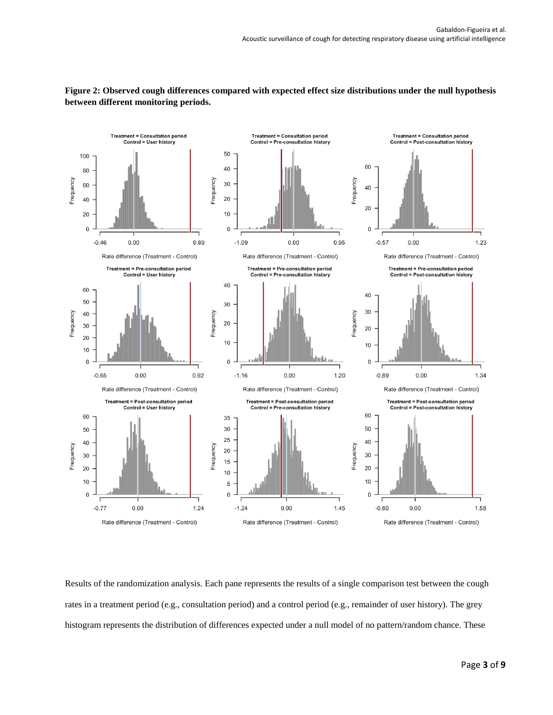

<span id="page-2-0"></span>**Figure 2: Observed cough differences compared with expected effect size distributions under the null hypothesis between different monitoring periods.**

Results of the randomization analysis. Each pane represents the results of a single comparison test between the cough rates in a treatment period (e.g., consultation period) and a control period (e.g., remainder of user history). The grey histogram represents the distribution of differences expected under a null model of no pattern/random chance. These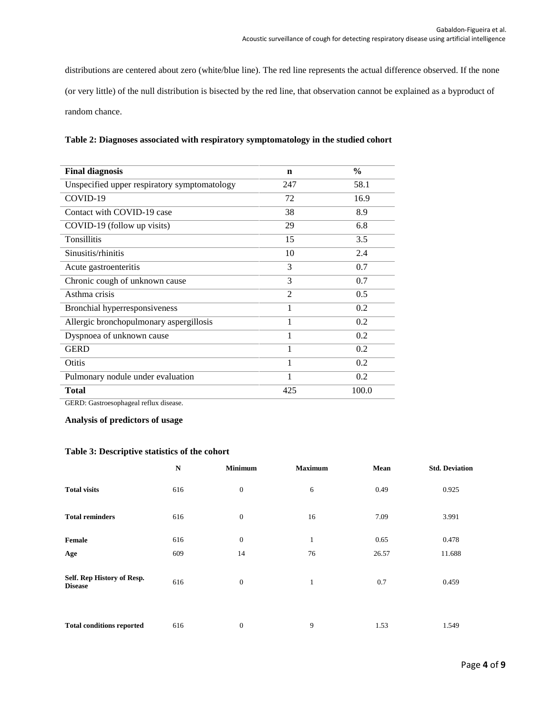distributions are centered about zero (white/blue line). The red line represents the actual difference observed. If the none (or very little) of the null distribution is bisected by the red line, that observation cannot be explained as a byproduct of random chance.

| <b>Final diagnosis</b>                       | n              | $\frac{0}{0}$ |
|----------------------------------------------|----------------|---------------|
| Unspecified upper respiratory symptomatology | 247            | 58.1          |
| COVID-19                                     | 72             | 16.9          |
| Contact with COVID-19 case                   | 38             | 8.9           |
| COVID-19 (follow up visits)                  | 29             | 6.8           |
| <b>Tonsillitis</b>                           | 15             | 3.5           |
| Sinusitis/rhinitis                           | 10             | 2.4           |
| Acute gastroenteritis                        | 3              | 0.7           |
| Chronic cough of unknown cause               | 3              | 0.7           |
| Asthma crisis                                | $\mathfrak{D}$ | 0.5           |
| Bronchial hyperresponsiveness                | 1              | 0.2           |
| Allergic bronchopulmonary aspergillosis      | 1              | 0.2           |
| Dyspnoea of unknown cause                    | 1              | 0.2           |
| <b>GERD</b>                                  | 1              | 0.2           |
| Otitis                                       | 1              | 0.2           |
| Pulmonary nodule under evaluation            | 1              | 0.2           |
| <b>Total</b>                                 | 425            | 100.0         |

## <span id="page-3-0"></span>**Table 2: Diagnoses associated with respiratory symptomatology in the studied cohort**

GERD: Gastroesophageal reflux disease.

<span id="page-3-1"></span>**Analysis of predictors of usage**

#### <span id="page-3-2"></span>**Table 3: Descriptive statistics of the cohort**

|                                              | N   | <b>Minimum</b>   | <b>Maximum</b> | Mean  | <b>Std. Deviation</b> |
|----------------------------------------------|-----|------------------|----------------|-------|-----------------------|
| <b>Total visits</b>                          | 616 | $\boldsymbol{0}$ | 6              | 0.49  | 0.925                 |
| <b>Total reminders</b>                       | 616 | $\mathbf{0}$     | 16             | 7.09  | 3.991                 |
| Female                                       | 616 | $\mathbf{0}$     | $\mathbf{1}$   | 0.65  | 0.478                 |
| Age                                          | 609 | 14               | 76             | 26.57 | 11.688                |
| Self. Rep History of Resp.<br><b>Disease</b> | 616 | $\mathbf{0}$     | $\mathbf{1}$   | 0.7   | 0.459                 |
| <b>Total conditions reported</b>             | 616 | $\mathbf{0}$     | 9              | 1.53  | 1.549                 |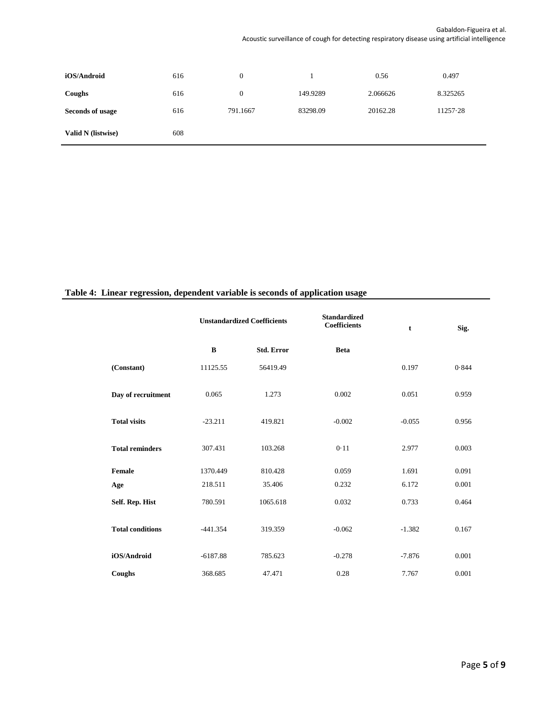| iOS/Android               | 616 | $\theta$ |          | 0.56     | 0.497    |
|---------------------------|-----|----------|----------|----------|----------|
| Coughs                    | 616 | $\theta$ | 149.9289 | 2.066626 | 8.325265 |
| Seconds of usage          | 616 | 791.1667 | 83298.09 | 20162.28 | 11257.28 |
| <b>Valid N</b> (listwise) | 608 |          |          |          |          |

## <span id="page-4-0"></span>**Table 4: Linear regression, dependent variable is seconds of application usage**

|                         | <b>Unstandardized Coefficients</b> |                   | <b>Standardized</b><br><b>Coefficients</b> | t        | Sig.  |
|-------------------------|------------------------------------|-------------------|--------------------------------------------|----------|-------|
|                         | $\bf{B}$                           | <b>Std. Error</b> | <b>Beta</b>                                |          |       |
| (Constant)              | 11125.55                           | 56419.49          |                                            | 0.197    | 0.844 |
| Day of recruitment      | 0.065                              | 1.273             | 0.002                                      | 0.051    | 0.959 |
| <b>Total visits</b>     | $-23.211$                          | 419.821           | $-0.002$                                   | $-0.055$ | 0.956 |
| <b>Total reminders</b>  | 307.431                            | 103.268           | 0.11                                       | 2.977    | 0.003 |
| Female                  | 1370.449                           | 810.428           | 0.059                                      | 1.691    | 0.091 |
| Age                     | 218.511                            | 35.406            | 0.232                                      | 6.172    | 0.001 |
| Self. Rep. Hist         | 780.591                            | 1065.618          | 0.032                                      | 0.733    | 0.464 |
| <b>Total conditions</b> | $-441.354$                         | 319.359           | $-0.062$                                   | $-1.382$ | 0.167 |
| iOS/Android             | $-6187.88$                         | 785.623           | $-0.278$                                   | $-7.876$ | 0.001 |
| Coughs                  | 368.685                            | 47.471            | 0.28                                       | 7.767    | 0.001 |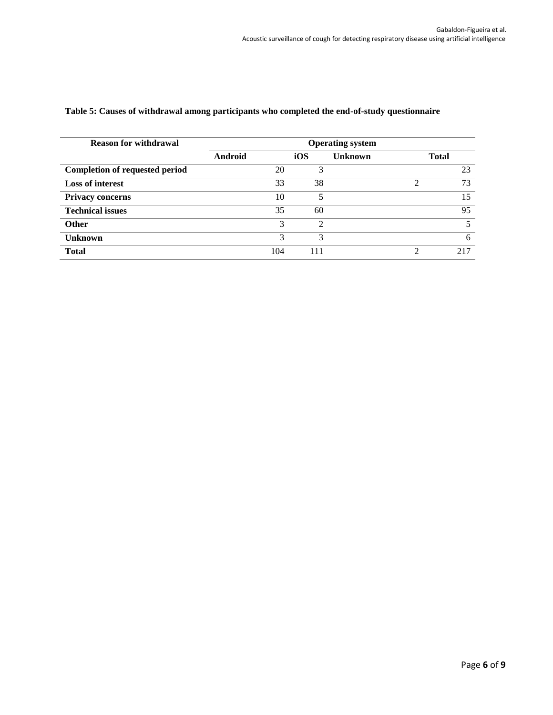| <b>Reason for withdrawal</b>          |         |     |     | <b>Operating system</b> |   |              |
|---------------------------------------|---------|-----|-----|-------------------------|---|--------------|
|                                       | Android |     | iOS | <b>Unknown</b>          |   | <b>Total</b> |
| <b>Completion of requested period</b> |         | 20  | 3   |                         |   | 23           |
| <b>Loss of interest</b>               |         | 33  | 38  |                         | ↑ | 73           |
| <b>Privacy concerns</b>               |         | 10  |     |                         |   | 15           |
| <b>Technical issues</b>               |         | 35  | 60  |                         |   | 95           |
| <b>Other</b>                          |         | 3   | ↑   |                         |   | 5            |
| <b>Unknown</b>                        |         | 3   | 3   |                         |   | 6            |
| <b>Total</b>                          |         | 104 | 11  |                         | ↑ | 217          |

#### <span id="page-5-0"></span>**Table 5: Causes of withdrawal among participants who completed the end-of-study questionnaire**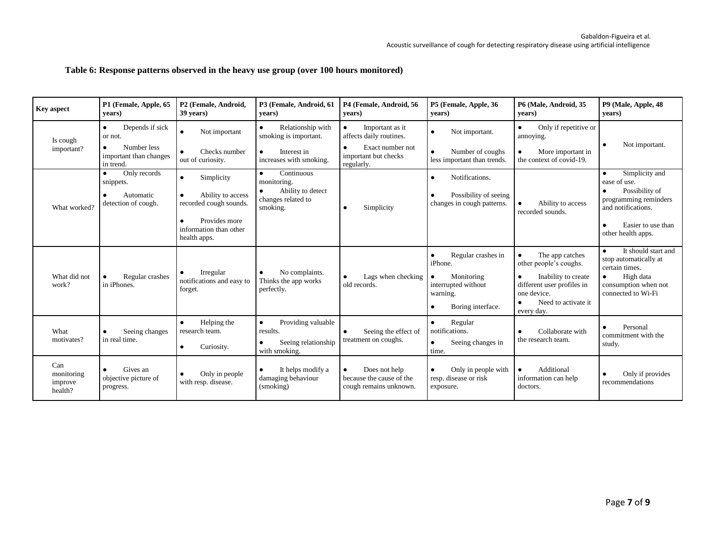## **Table 6: Response patterns observed in the heavy use group (over 100 hours monitored)**

<span id="page-6-0"></span>

| <b>Kev</b> aspect                       | P1 (Female, Apple, 65<br>vears)                                                               | P2 (Female, Android,<br>39 years)                                                                                                              | P3 (Female, Android, 61<br>years)                                                                              | P4 (Female, Android, 56<br>vears)                                                                                 | P5 (Female, Apple, 36<br>vears)                                                                                                            | P6 (Male, Android, 35<br>vears)                                                                                                                                              | P9 (Male, Apple, 48<br>vears)                                                                                                                                 |
|-----------------------------------------|-----------------------------------------------------------------------------------------------|------------------------------------------------------------------------------------------------------------------------------------------------|----------------------------------------------------------------------------------------------------------------|-------------------------------------------------------------------------------------------------------------------|--------------------------------------------------------------------------------------------------------------------------------------------|------------------------------------------------------------------------------------------------------------------------------------------------------------------------------|---------------------------------------------------------------------------------------------------------------------------------------------------------------|
| Is cough<br>important?                  | Depends if sick<br>$\bullet$<br>or not.<br>Number less<br>important than changes<br>in trend. | Not important<br>$\bullet$<br>$\bullet$<br>Checks number<br>out of curiosity.                                                                  | Relationship with<br>$\bullet$<br>smoking is important.<br>Interest in<br>$\bullet$<br>increases with smoking. | Important as it<br>$\bullet$<br>affects daily routines.<br>Exact number not<br>important but checks<br>regularly. | Not important.<br>$\bullet$<br>Number of coughs<br>less important than trends.                                                             | Only if repetitive or<br>$\bullet$<br>annoying.<br>More important in<br>$\bullet$<br>the context of covid-19.                                                                | Not important.<br>٠                                                                                                                                           |
| What worked?                            | Only records<br>snippets.<br>Automatic<br>detection of cough.                                 | Simplicity<br>$\bullet$<br>Ability to access<br>$\bullet$<br>recorded cough sounds.<br>Provides more<br>information than other<br>health apps. | Continuous<br>$\bullet$<br>monitoring.<br>Ability to detect<br>٠<br>changes related to<br>smoking.             | Simplicity                                                                                                        | Notifications.<br>$\bullet$<br>Possibility of seeing<br>changes in cough patterns.                                                         | Ability to access<br>recorded sounds.                                                                                                                                        | Simplicity and<br>$\bullet$<br>ease of use.<br>Possibility of<br>٠<br>programming reminders<br>and notifications.<br>Easier to use than<br>other health apps. |
| What did not<br>work?                   | Regular crashes<br>in iPhones.                                                                | Irregular<br>$\bullet$<br>notifications and easy to<br>forget.                                                                                 | No complaints.<br>$\bullet$<br>Thinks the app works<br>perfectly.                                              | Lags when checking<br>old records.                                                                                | Regular crashes in<br>$\bullet$<br>iPhone.<br>Monitoring<br>$\bullet$<br>interrupted without<br>warning.<br>Boring interface.<br>$\bullet$ | The app catches<br>$\bullet$<br>other people's coughs.<br>Inability to create<br>$\bullet$<br>different user profiles in<br>one device.<br>Need to activate it<br>every day. | It should start and<br>stop automatically at<br>certain times.<br>High data<br>consumption when not<br>connected to Wi-Fi                                     |
| What<br>motivates?                      | Seeing changes<br>in real time.                                                               | Helping the<br>$\bullet$<br>research team.<br>Curiosity.<br>$\bullet$                                                                          | Providing valuable<br>$\bullet$<br>results.<br>Seeing relationship<br>$\bullet$<br>with smoking.               | Seeing the effect of<br>treatment on coughs.                                                                      | Regular<br>$\bullet$<br>notifications.<br>Seeing changes in<br>$\bullet$<br>time.                                                          | Collaborate with<br>the research team.                                                                                                                                       | Personal<br>commitment with the<br>study.                                                                                                                     |
| Can<br>monitoring<br>improve<br>health? | Gives an<br>objective picture of<br>progress.                                                 | Only in people<br>$\bullet$<br>with resp. disease.                                                                                             | It helps modify a<br>$\bullet$<br>damaging behaviour<br>(smoking)                                              | Does not help<br>$\bullet$<br>because the cause of the<br>cough remains unknown.                                  | Only in people with<br>$\bullet$<br>resp. disease or risk<br>exposure.                                                                     | Additional<br>$\bullet$<br>information can help<br>doctors.                                                                                                                  | Only if provides<br>recommendations                                                                                                                           |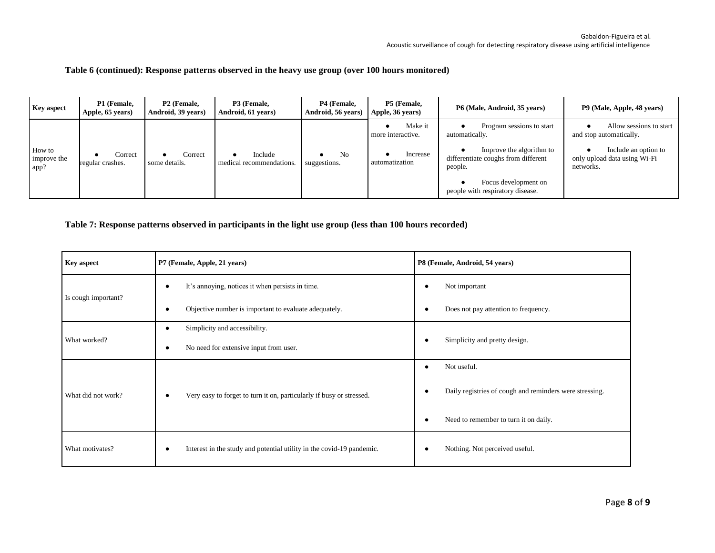#### **Table 6 (continued): Response patterns observed in the heavy use group (over 100 hours monitored)**

| <b>Key aspect</b>             | P1 (Female,<br>Apple, 65 years) | P <sub>2</sub> (Female,<br>Android, 39 years) | P3 (Female,<br>Android, 61 years)   | P4 (Female,<br>Android, 56 years) | P5 (Female,<br>Apple, 36 years)                            | P6 (Male, Android, 35 years)                                                                                                                                                          | P9 (Male, Apple, 48 years)                                                                                              |
|-------------------------------|---------------------------------|-----------------------------------------------|-------------------------------------|-----------------------------------|------------------------------------------------------------|---------------------------------------------------------------------------------------------------------------------------------------------------------------------------------------|-------------------------------------------------------------------------------------------------------------------------|
| How to<br>improve the<br>app? | Correct<br>regular crashes.     | Correct<br>some details.                      | Include<br>medical recommendations. | N <sub>0</sub><br>suggestions.    | Make it<br>more interactive.<br>Increase<br>automatization | Program sessions to start<br>automatically.<br>Improve the algorithm to<br>differentiate coughs from different<br>people.<br>Focus development on<br>people with respiratory disease. | Allow sessions to start<br>and stop automatically.<br>Include an option to<br>only upload data using Wi-Fi<br>networks. |

#### <span id="page-7-0"></span>**Table 7: Response patterns observed in participants in the light use group (less than 100 hours recorded)**

<span id="page-7-1"></span>

| <b>Key aspect</b>   | P7 (Female, Apple, 21 years)                                          | P8 (Female, Android, 54 years)                          |
|---------------------|-----------------------------------------------------------------------|---------------------------------------------------------|
|                     | It's annoying, notices it when persists in time.<br>$\bullet$         | Not important<br>٠                                      |
| Is cough important? | Objective number is important to evaluate adequately.<br>٠            | Does not pay attention to frequency.<br>٠               |
|                     | Simplicity and accessibility.                                         |                                                         |
| What worked?        | No need for extensive input from user.<br>٠                           | Simplicity and pretty design.                           |
| What did not work?  |                                                                       | Not useful.                                             |
|                     | Very easy to forget to turn it on, particularly if busy or stressed.  | Daily registries of cough and reminders were stressing. |
|                     |                                                                       | Need to remember to turn it on daily.<br>٠              |
| What motivates?     | Interest in the study and potential utility in the covid-19 pandemic. | Nothing. Not perceived useful.<br>٠                     |